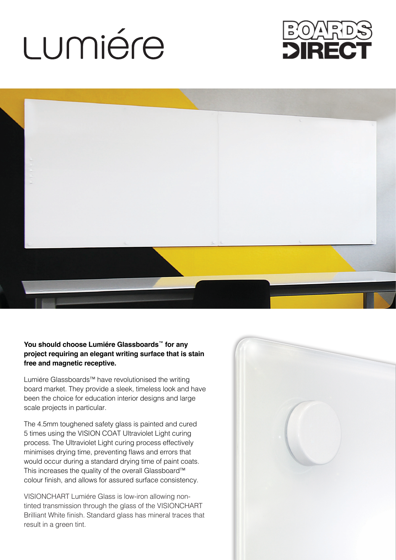## LUMiére





## **You should choose Lumiére Glassboards**™ **for any project requiring an elegant writing surface that is stain free and magnetic receptive.**

Lumiére Glassboards™ have revolutionised the writing board market. They provide a sleek, timeless look and have been the choice for education interior designs and large scale projects in particular.

The 4.5mm toughened safety glass is painted and cured 5 times using the VISION COAT Ultraviolet Light curing process. The Ultraviolet Light curing process effectively minimises drying time, preventing flaws and errors that would occur during a standard drying time of paint coats. This increases the quality of the overall Glassboard™ colour finish, and allows for assured surface consistency.

VISIONCHART Lumiére Glass is low-iron allowing nontinted transmission through the glass of the VISIONCHART Brilliant White finish. Standard glass has mineral traces that result in a green tint.